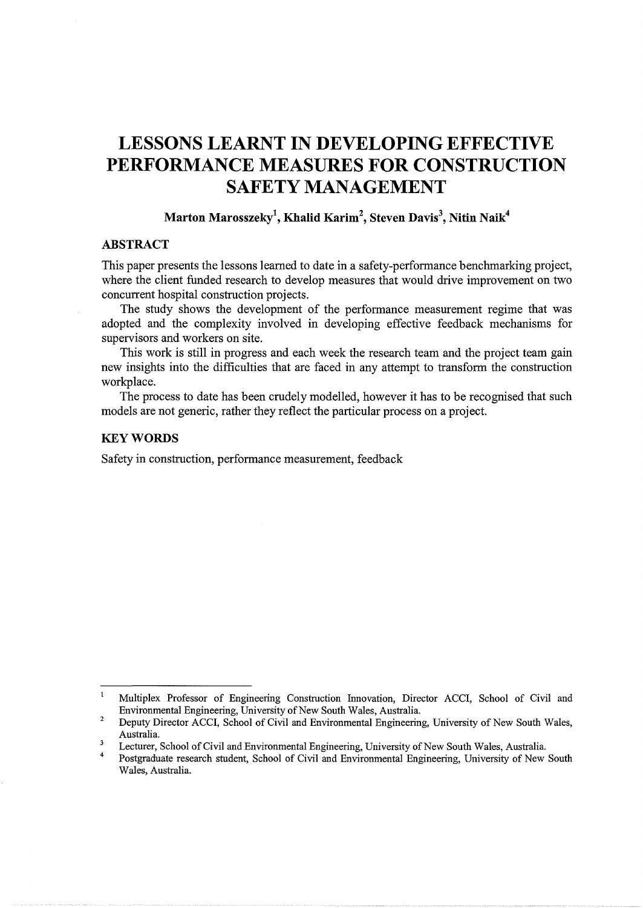# **LESSONS LEARNT IN DEVELOPING EFFECTIVE PERFORMANCE MEASURES FOR CONSTRUCTION SAFETY MANAGEMENT**

## **Marton Marosszeky<sup>1</sup> , Khalid Karim<sup>2</sup> , Steven Davis<sup>3</sup> , Nitin Naik4**

# **ABSTRACT**

This paper presents the lessons learned to date in a safety-performance benchmarking project, where the client funded research to develop measures that would drive improvement on two concurrent hospital construction projects.

The study shows the development of the performance measurement regime that was adopted and the complexity involved in developing effective feedback mechanisms for supervisors and workers on site.

This work is still in progress and each week the research team and the project team gain new insights into the difficulties that are faced in any attempt to transform the construction workplace.

The process to date has been crudely modelled, however it has to be recognised that such models are not generic, rather they reflect the particular process on a project.

## **KEYWORDS**

Safety in construction, performance measurement, feedback

 $\mathbf{1}$ Multiplex Professor of Engineering Construction Innovation, Director ACCI, School of Civil and Environmental Engineering, University of New South Wales, Australia.

<sup>2</sup>  Deputy Director ACCI, School of Civil and Environmental Engineering, University of New South Wales, Australia.

 $\overline{\mathbf{3}}$ Lecturer, School of Civil and Environmental Engineering, University of New South Wales, Australia.

<sup>4</sup>  Postgraduate research student, School of Civil and Environmental Engineering, University of New South Wales, Australia.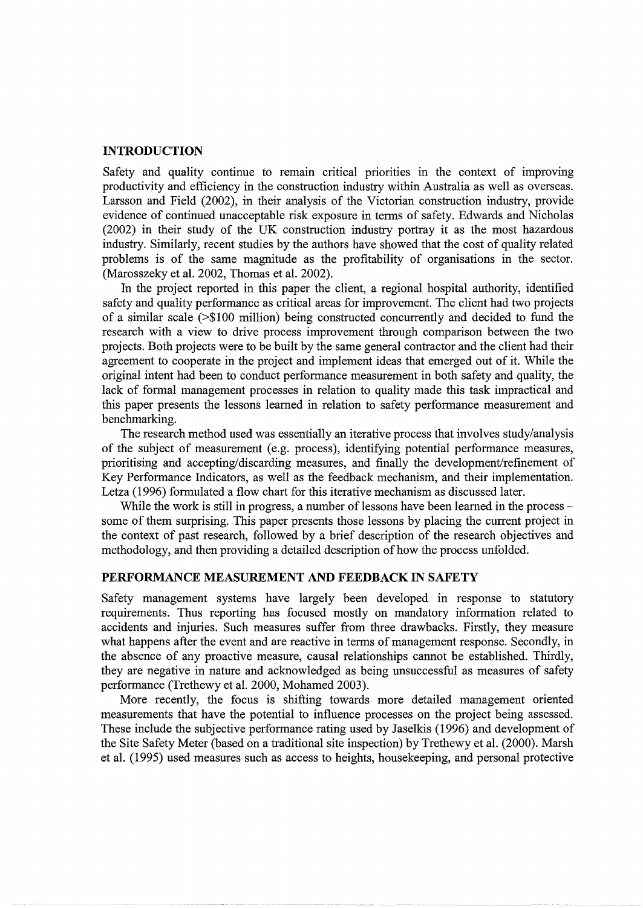## **INTRODUCTION**

Safety and quality continue to remain critical priorities in the context of improving productivity and efficiency in the construction industry within Australia as well as overseas. Larsson and Field (2002), in their analysis of the Victorian construction industry, provide evidence of continued unacceptable risk exposure in terms of safety. Edwards and Nicholas (2002) in their study of the UK construction industry portray it as the most hazardous industry. Similarly, recent studies by the authors have showed that the cost of quality related problems is of the same magnitude as the profitability of organisations in the sector. (Marosszeky et al. 2002, Thomas et al. 2002).

In the project reported in this paper the client, a regional hospital authority, identified safety and quality performance as critical areas for improvement. The client had two projects of a similar scale (>\$100 million) being constructed concurrently and decided to fund the research with a view to drive process improvement through comparison between the two projects. Both projects were to be built by the same general contractor and the client had their agreement to cooperate in the project and implement ideas that emerged out of it. While the original intent had been to conduct performance measurement in both safety and quality, the lack of formal management processes in relation to quality made this task impractical and this paper presents the lessons learned in relation to safety performance measurement and benchmarking.

The research method used was essentially an iterative process that involves study/analysis of the subject of measurement (e.g. process), identifying potential performance measures, prioritising and accepting/discarding measures, and finally the development/refinement of Key Performance Indicators, as well as the feedback mechanism, and their implementation. Letza (1996) formulated a flow chart for this iterative mechanism as discussed later.

While the work is still in progress, a number of lessons have been learned in the process some of them surprising. This paper presents those lessons by placing the current project in the context of past research, followed by a brief description of the research objectives and methodology, and then providing a detailed description of how the process unfolded.

## **PERFORMANCE MEASUREMENT AND FEEDBACK IN SAFETY**

Safety management systems have largely been developed in response to statutory requirements. Thus reporting has focused mostly on mandatory information related to accidents and injuries. Such measures suffer from three drawbacks. Firstly, they measure what happens after the event and are reactive in terms of management response. Secondly, in the absence of any proactive measure, causal relationships cannot be established. Thirdly, they are negative in nature and acknowledged as being unsuccessful as measures of safety performance (Trethewy et al. 2000, Mohamed 2003).

More recently, the focus is shifting towards more detailed management oriented measurements that have the potential to influence processes on the project being assessed. These include the subjective performance rating used by Jaselkis (1996) and development of the Site Safety Meter (based on a traditional site inspection) by Trethewy et al. (2000). Marsh et al. (1995) used measures such as access to heights, housekeeping, and personal protective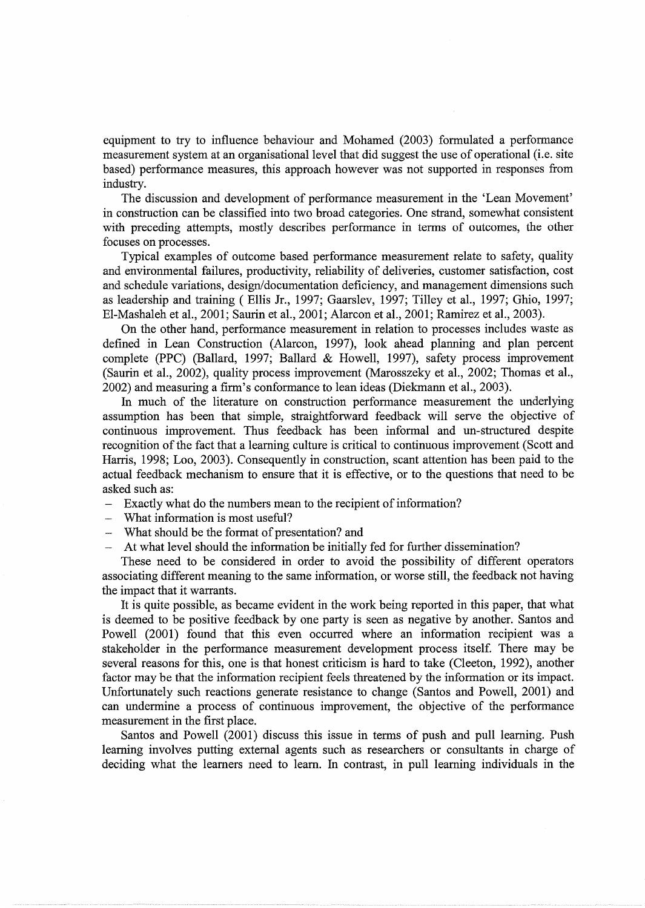equipment to try to influence behaviour and Mohamed (2003) formulated a performance measurement system at an organisational level that did suggest the use of operational (i.e. site based) performance measures, this approach however was not supported in responses from industry.

The discussion and development of performance measurement in the 'Lean Movement' in construction can be classified into two broad categories. One strand, somewhat consistent with preceding attempts, mostly describes performance in terms of outcomes, the other focuses on processes.

Typical examples of outcome based performance measurement relate to safety, quality and environmental failures, productivity, reliability of deliveries, customer satisfaction, cost and schedule variations, design/documentation deficiency, and management dimensions such as leadership and training (Ellis Jr., 1997; Gaarslev, 1997; Tilley et al., 1997; Ghio, 1997; El-Mashaleh et al., 2001; Saurin et al., 2001; Alarcon et al., 2001; Ramirez et al., 2003).

On the other hand, performance measurement in relation to processes includes waste as defined in Lean Construction (Alarcon, 1997), look ahead planning and plan percent complete (PPC) (Ballard, 1997; Ballard & Howell, 1997), safety process improvement (Saurin et al., 2002), quality process improvement (Marosszeky et al., 2002; Thomas et al., 2002) and measuring a firm's conformance to lean ideas (Diekmann et al., 2003).

In much of the literature on construction performance measurement the underlying assumption has been that simple, straightforward feedback will serve the objective of continuous improvement. Thus feedback has been informal and un-structured despite recognition of the fact that a learning culture is critical to continuous improvement (Scott and Harris, 1998; Loo, 2003). Consequently in construction, scant attention has been paid to the actual feedback mechanism to ensure that it is effective, or to the questions that need to be asked such as:

- Exactly what do the numbers mean to the recipient of information?
- What information is most useful?
- What should be the format of presentation? and
- At what level should the information be initially fed for further dissemination?

These need to be considered in order to avoid the possibility of different operators associating different meaning to the same information, or worse still, the feedback not having the impact that it warrants.

It is quite possible, as became evident in the work being reported in this paper, that what is deemed to be positive feedback by one party is seen as negative by another. Santos and Powell (2001) found that this even occurred where an information recipient was a stakeholder in the performance measurement development process itself. There may be several reasons for this, one is that honest criticism is hard to take (Cleeton, 1992), another factor may be that the information recipient feels threatened by the information or its impact. Unfortunately such reactions generate resistance to change (Santos and Powell, 2001) and can undermine a process of continuous improvement, the objective of the performance measurement in the first place.

Santos and Powell (2001) discuss this issue in terms of push and pull learning. Push learning involves putting external agents such as researchers or consultants in charge of deciding what the learners need to learn. In contrast, in pull learning individuals in the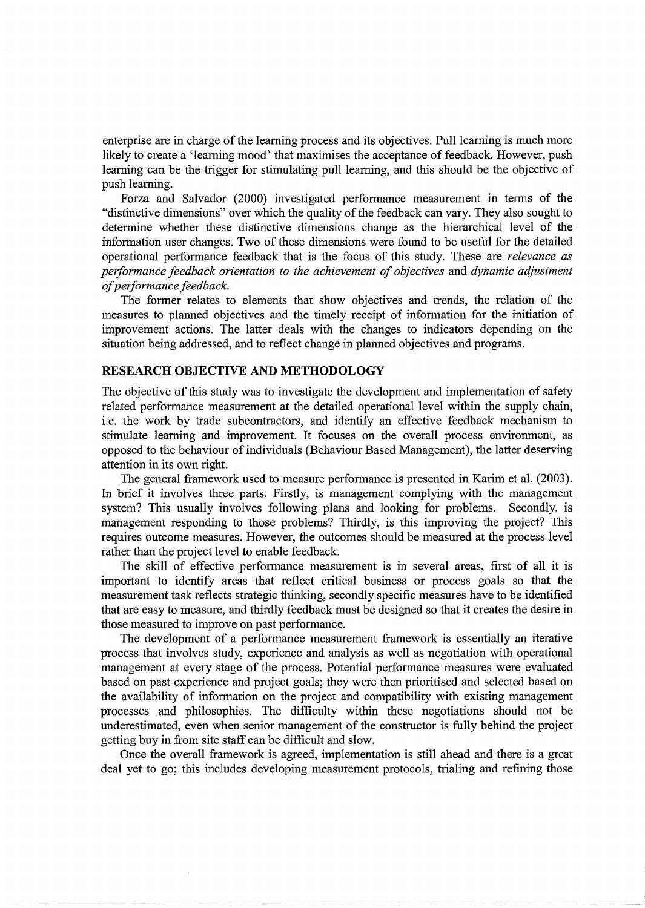enterprise are in charge of the learning process and its objectives. Pull learning is much more likely to create a 'learning mood' that maximises the acceptance of feedback. However, push learning can be the trigger for stimulating pull learning, and this should be the objective of push learning.

Forza and Salvador (2000) investigated performance measurement in terms of the "distinctive dimensions" over which the quality of the feedback can vary. They also sought to determine whether these distinctive dimensions change as the hierarchical level of the information user changes. Two of these dimensions were found to be useful for the detailed operational performance feedback that is the focus of this study. These are *relevance as performance feedback orientation to the achievement of objectives* and *dynamic adjustment of performance feedback.* 

The former relates to elements that show objectives and trends, the relation of the measures to planned objectives and the timely receipt of information for the initiation of improvement actions. The latter deals with the changes to indicators depending on the situation being addressed, and to reflect change in planned objectives and programs.

#### **RESEARCH OBJECTIVE AND METHODOLOGY**

The objective of this study was to investigate the development and implementation of safety related performance measurement at the detailed operational level within the supply chain, i.e. the work by trade subcontractors, and identify an effective feedback mechanism to stimulate learning and improvement. It focuses on the overall process environment, as opposed to the behaviour of individuals (Behaviour Based Management), the latter deserving attention in its own right.

The general framework used to measure performance is presented in Karim et al. (2003). In brief it involves three parts. Firstly, is management complying with the management system? This usually involves following plans and looking for problems. Secondly, is management responding to those problems? Thirdly, is this improving the project? This requires outcome measures. However, the outcomes should be measured at the process level rather than the project level to enable feedback.

The skill of effective performance measurement is in several areas, first of all it is important to identify areas that reflect critical business or process goals so that the measurement task reflects strategic thinking, secondly specific measures have to be identified that are easy to measure, and thirdly feedback must be designed so that it creates the desire in those measured to improve on past performance.

The development of a performance measurement framework is essentially an iterative process that involves study, experience and analysis as well as negotiation with operational management at every stage of the process. Potential performance measures were evaluated based on past experience and project goals; they were then prioritised and selected based on the availability of information on the project and compatibility with existing management processes and philosophies. The difficulty within these negotiations should not be underestimated, even when senior management of the constructor is fully behind the project getting buy in from site staff can be difficult and slow.

Once the overall framework is agreed, implementation is still ahead and there is a great deal yet to go; this includes developing measurement protocols, trialing and refining those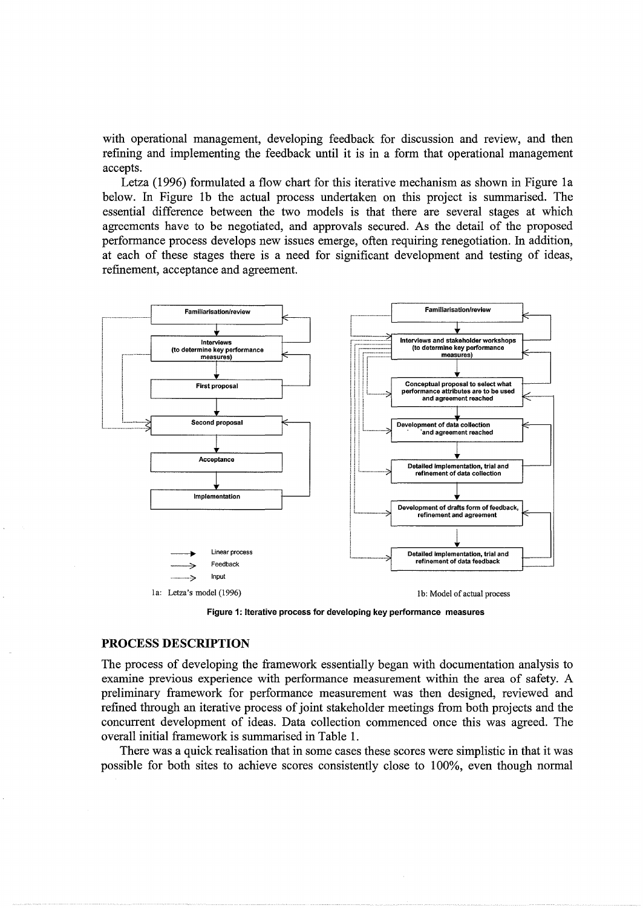with operational management, developing feedback for discussion and review, and then refining and implementing the feedback until it is in a form that operational management accepts.

Letza (1996) formulated a flow chart for this iterative mechanism as shown in Figure 1a below. In Figure 1b the actual process undertaken on this project is summarised. The essential difference between the two models is that there are several stages at which agreements have to be negotiated, and approvals secured. As the detail of the proposed performance process develops new issues emerge, often requiring renegotiation. In addition, at each of these stages there is a need for significant development and testing of ideas, refinement, acceptance and agreement.



Figure **1:** Iterative process for developing key performance measures

#### **PROCESS DESCRIPTION**

The process of developing the framework essentially began with documentation analysis to examine previous experience with performance measurement within the area of safety. A preliminary framework for performance measurement was then designed, reviewed and refined through an iterative process of joint stakeholder meetings from both projects and the concurrent development of ideas. Data collection commenced once this was agreed. The overall initial framework is summarised in Table 1.

There was a quick realisation that in some cases these scores were simplistic in that it was possible for both sites to achieve scores consistently close to 100%, even though normal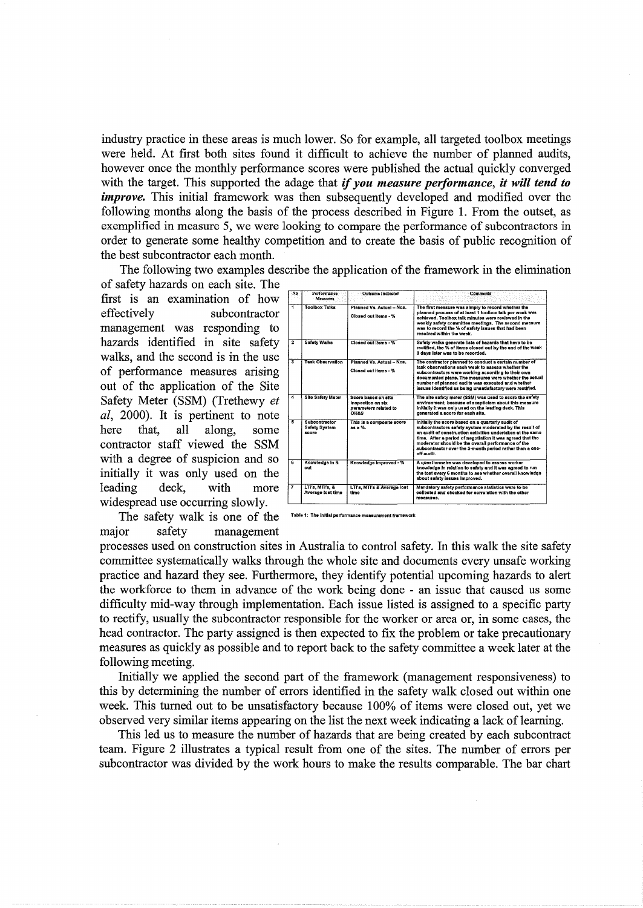industry practice in these areas is much lower. So for example, all targeted toolbox meetings were held. At first both sites found it difficult to achieve the number of planned audits, however once the monthly performance scores were published the actual quickly converged with the target. This supported the adage that if you measure performance, it will tend to *improve*. This initial framework was then subsequently developed and modified over the following months along the basis of the process described in Figure 1. From the outset, as exemplified in measure 5, we were looking to compare the performance of subcontractors in order to generate some healthy competition and to create the basis of public recognition of the best subcontractor each month.

The following two examples describe the application of the framework in the elimination

of safety hazards on each site. The first is an examination of how effectively subcontractor management was responding to hazards identified in site safety walks, and the second is in the use of performance measures arising out of the application of the Site Safety Meter (SSM) (Trethewy et *al*, 2000). It is pertinent to note that. here all along, some contractor staff viewed the SSM with a degree of suspicion and so initially it was only used on the leading deck. with more widespread use occurring slowly.



The safety walk is one of the major safety management

Table 1: The initial performance

processes used on construction sites in Australia to control safety. In this walk the site safety committee systematically walks through the whole site and documents every unsafe working practice and hazard they see. Furthermore, they identify potential upcoming hazards to alert the workforce to them in advance of the work being done - an issue that caused us some difficulty mid-way through implementation. Each issue listed is assigned to a specific party to rectify, usually the subcontractor responsible for the worker or area or, in some cases, the head contractor. The party assigned is then expected to fix the problem or take precautionary measures as quickly as possible and to report back to the safety committee a week later at the following meeting.

Initially we applied the second part of the framework (management responsiveness) to this by determining the number of errors identified in the safety walk closed out within one week. This turned out to be unsatisfactory because 100% of items were closed out, yet we observed very similar items appearing on the list the next week indicating a lack of learning.

This led us to measure the number of hazards that are being created by each subcontract team. Figure 2 illustrates a typical result from one of the sites. The number of errors per subcontractor was divided by the work hours to make the results comparable. The bar chart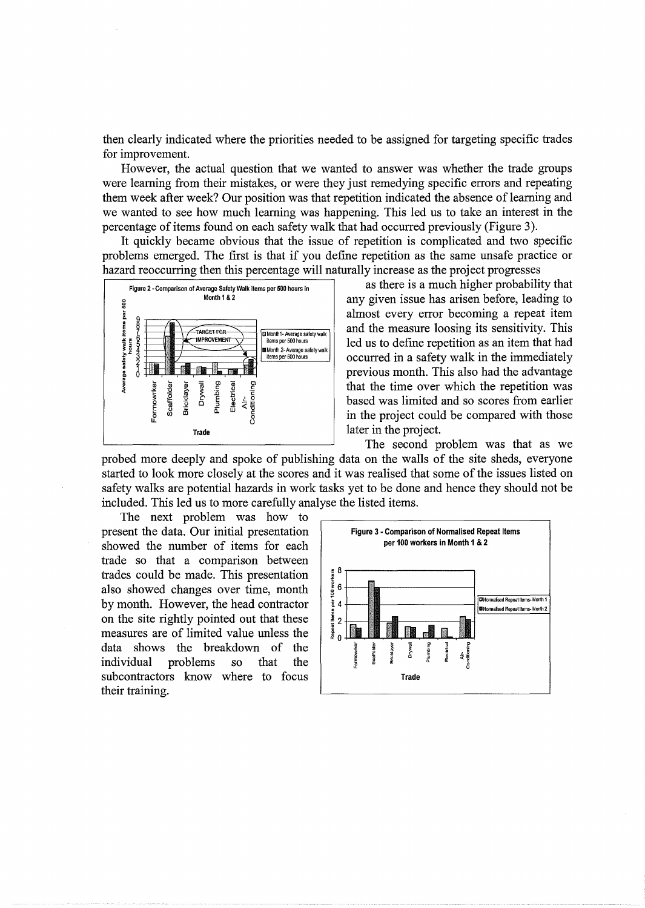then clearly indicated where the priorities needed to be assigned for targeting specific trades for improvement.

However, the actual question that we wanted to answer was whether the trade groups were learning from their mistakes, or were they just remedying specific errors and repeating them week after week? Our position was that repetition indicated the absence of learning and we wanted to see how much learning was happening. This led us to take an interest in the percentage of items found on each safety walk that had occurred previously (Figure 3).

It quickly became obvious that the issue of repetition is complicated and two specific problems emerged. The first is that if you define repetition as the same unsafe practice or hazard reoccurring then this percentage will naturally increase as the project progresses



as there is a much higher probability that any given issue has arisen before, leading to almost every error becoming a repeat item and the measure loosing its sensitivity. This led us to define repetition as an item that had occurred in a safety walk in the immediately previous month. This also had the advantage that the time over which the repetition was based was limited and so scores from earlier in the project could be compared with those later in the project.

The second problem was that as we probed more deeply and spoke of publishing data on the walls of the site sheds, everyone started to look more closely at the scores and it was realised that some of the issues listed on safety walks are potential hazards in work tasks yet to be done and hence they should not be included. This led us to more carefully analyse the listed items.

The next problem was how to present the data. Our initial presentation Figure 3 - Comparison of Normalised Repeat Items<br>chowed the number of items for each per 100 workers in Month 1 & 2 showed the number of items for each trade so that a comparison between trades could be made. This presentation also showed changes over time, month by month. However, the head contractor on the site rightly pointed out that these measures are of limited value unless the data shows the breakdown of the individual problems so that the subcontractors know where to focus their training.

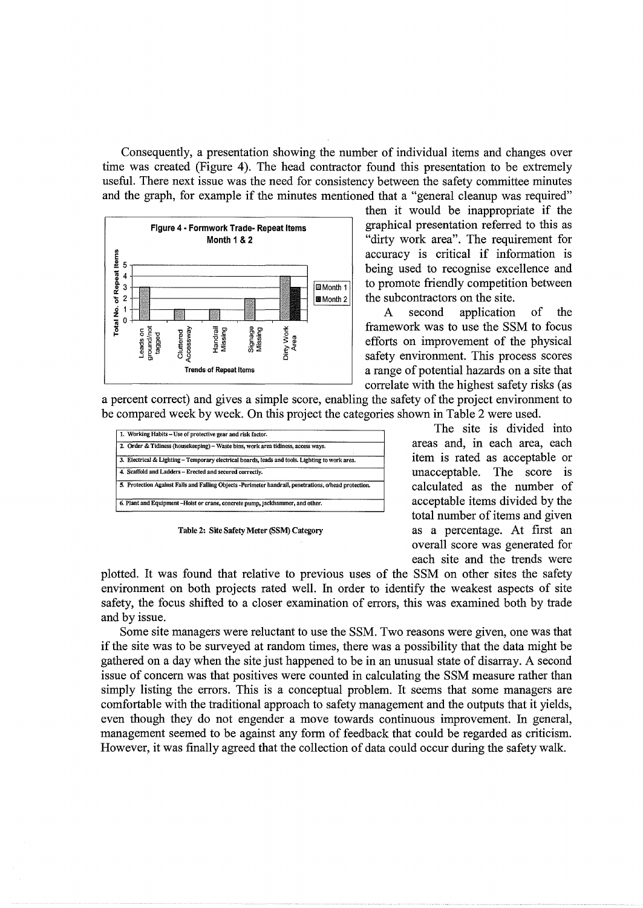Consequently, a presentation showing the number of individual items and changes over time was created (Figure 4). The head contractor found this presentation to be extremely useful. There next issue was the need for consistency between the safety committee minutes and the graph, for example if the minutes mentioned that a "general cleanup was required"



then it would be inappropriate if the graphical presentation referred to this as "dirty work area". The requirement for accuracy is critical if information is being used to recognise excellence and to promote friendly competition between the subcontractors on the site.

second application of the  $\mathbf{A}$ framework was to use the SSM to focus efforts on improvement of the physical safety environment. This process scores a range of potential hazards on a site that correlate with the highest safety risks (as

a percent correct) and gives a simple score, enabling the safety of the project environment to be compared week by week. On this project the categories shown in Table 2 were used.

| 1. Working Habits - Use of protective gear and risk factor.                                           |
|-------------------------------------------------------------------------------------------------------|
| 2. Order & Tidiness (housekeeping) – Waste bins, work area tidiness, access ways.                     |
| 3. Electrical & Lighting – Temporary electrical boards, leads and tools. Lighting to work area.       |
| 4. Scaffold and Ladders - Erected and secured correctly.                                              |
| 5. Protection Against Falls and Falling Objects -Perimeter handrail, penetrations, o/head protection. |
| 6. Plant and Equipment -Hoist or crane, concrete pump, jackhammer, and other.                         |

Table 2: Site Safety Meter (SSM) Category

The site is divided into areas and, in each area, each item is rated as acceptable or unacceptable. The score is calculated as the number of acceptable items divided by the total number of items and given as a percentage. At first an overall score was generated for each site and the trends were

plotted. It was found that relative to previous uses of the SSM on other sites the safety environment on both projects rated well. In order to identify the weakest aspects of site safety, the focus shifted to a closer examination of errors, this was examined both by trade and by issue.

Some site managers were reluctant to use the SSM. Two reasons were given, one was that if the site was to be surveyed at random times, there was a possibility that the data might be gathered on a day when the site just happened to be in an unusual state of disarray. A second issue of concern was that positives were counted in calculating the SSM measure rather than simply listing the errors. This is a conceptual problem. It seems that some managers are comfortable with the traditional approach to safety management and the outputs that it yields, even though they do not engender a move towards continuous improvement. In general, management seemed to be against any form of feedback that could be regarded as criticism. However, it was finally agreed that the collection of data could occur during the safety walk.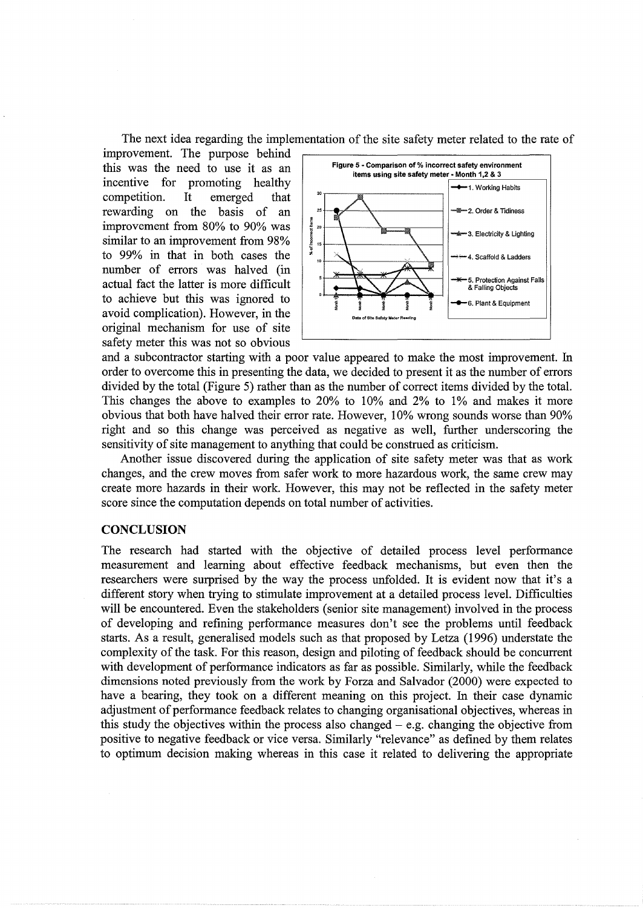The next idea regarding the implementation of the site safety meter related to the rate of

improvement. The purpose behind this was the need to use it as an incentive for promoting healthy competition. It emerged that rewarding on the basis of an improvement from 80% to 90% was similar to an improvement from 98% to 99% in that in both cases the number of errors was halved (in actual fact the latter is more difficult to achieve but this was ignored to avoid complication). However, in the original mechanism for use of site safety meter this was not so obvious



and a subcontractor starting with a poor value appeared to make the most improvement. In order to overcome this in presenting the data, we decided to present it as the number of errors divided by the total (Figure 5) rather than as the number of correct items divided by the total. This changes the above to examples to 20% to 10% and 2% to 1% and makes it more obvious that both have halved their error rate. However, 10% wrong sounds worse than 90% right and so this change was perceived as negative as well, further underscoring the sensitivity of site management to anything that could be construed as criticism.

Another issue discovered during the application of site safety meter was that as work changes, and the crew moves from safer work to more hazardous work, the same crew may create more hazards in their work. However, this may not be reflected in the safety meter score since the computation depends on total number of activities.

#### **CONCLUSION**

The research had started with the objective of detailed process level performance measurement and learning about effective feedback mechanisms, but even then the researchers were surprised by the way the process unfolded. It is evident now that it's a different story when trying to stimulate improvement at a detailed process level. Difficulties will be encountered. Even the stakeholders (senior site management) involved in the process of developing and refining performance measures don't see the problems until feedback starts. As a result, generalised models such as that proposed by Letza ( 1996) understate the complexity of the task. For this reason, design and piloting of feedback should be concurrent with development of performance indicators as far as possible. Similarly, while the feedback dimensions noted previously from the work by Forza and Salvador (2000) were expected to have a bearing, they took on a different meaning on this project. In their case dynamic adjustment of performance feedback relates to changing organisational objectives, whereas in this study the objectives within the process also changed  $-$  e.g. changing the objective from positive to negative feedback or vice versa. Similarly "relevance" as defined by them relates to optimum decision making whereas in this case it related to delivering the appropriate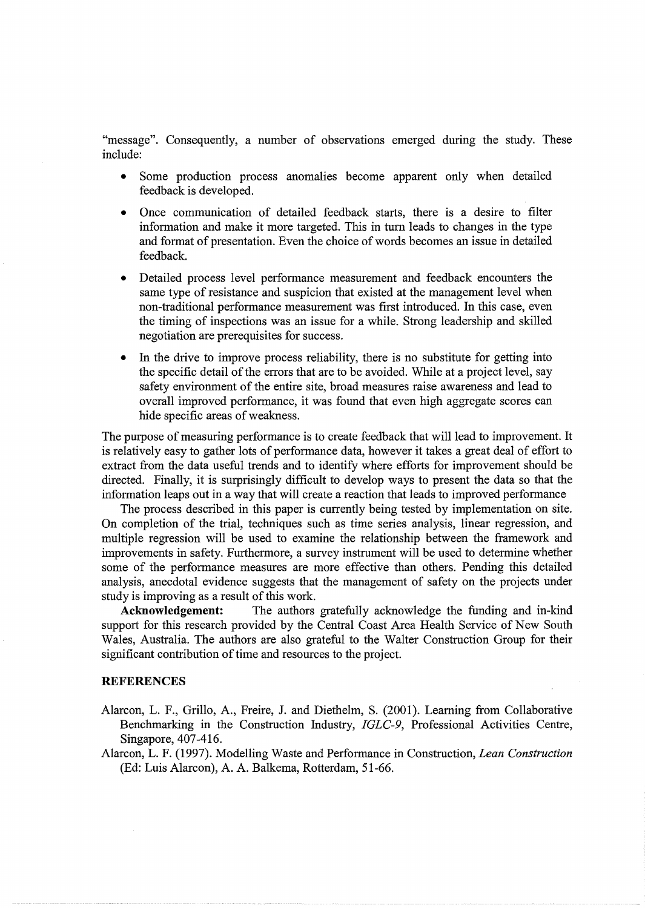"message". Consequently, a number of observations emerged during the study. These include:

- Some production process anomalies become apparent only when detailed feedback is developed.
- Once communication of detailed feedback starts, there is a desire to filter information and make it more targeted. This in tum leads to changes in the type and format of presentation. Even the choice of words becomes an issue in detailed feedback.
- Detailed process level performance measurement and feedback encounters the same type of resistance and suspicion that existed at the management level when non-traditional performance measurement was first introduced. In this case, even the timing of inspections was an issue for a while. Strong leadership and skilled negotiation are prerequisites for success.
- In the drive to improve process reliability, there is no substitute for getting into the specific detail of the errors that are to be avoided. While at a project level, say safety environment of the entire site, broad measures raise awareness and lead to overall improved performance, it was found that even high aggregate scores can hide specific areas of weakness.

The purpose of measuring performance is to create feedback that will lead to improvement. It is relatively easy to gather lots of performance data, however it takes a great deal of effort to extract from the data useful trends and to identify where efforts for improvement should be directed. Finally, it is surprisingly difficult to develop ways to present the data so that the information leaps out in a way that will create a reaction that leads to improved performance

The process described in this paper is currently being tested by implementation on site. On completion of the trial, techniques such as time series analysis, linear regression, and multiple regression will be used to examine the relationship between the framework and improvements in safety. Furthermore, a survey instrument will be used to determine whether some of the performance measures are more effective than others. Pending this detailed analysis, anecdotal evidence suggests that the management of safety on the projects under study is improving as a result of this work.

**Acknowledgement:** The authors gratefully acknowledge the funding and in-kind support for this research provided by the Central Coast Area Health Service of New South Wales, Australia. The authors are also grateful to the Walter Construction Group for their significant contribution of time and resources to the project.

#### **REFERENCES**

- Alarcon, L. F., Grillo, A., Freire, J. and Diethelm, S. (2001). Learning from Collaborative Benchmarking in the Construction Industry, *IGLC-9,* Professional Activities Centre, Singapore, 407-416.
- Alarcon, L. F. (1997). Modelling Waste and Performance in Construction, *Lean Construction*  (Ed: Luis Alarcon), A. A. Balkema, Rotterdam, 51-66.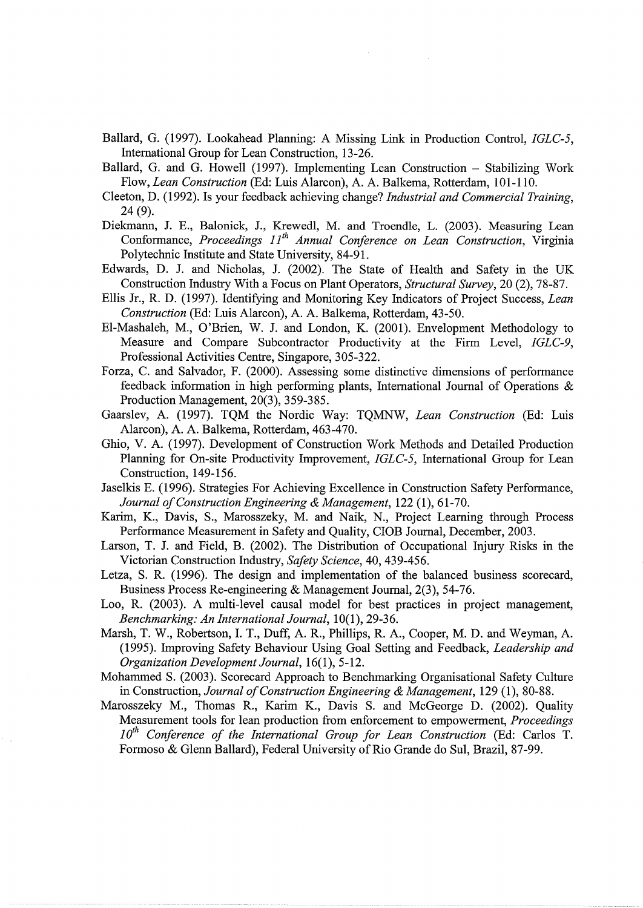- Ballard, G. (1997). Lookahead Planning: A Missing Link in Production Control, *IGLC-5,*  International Group for Lean Construction, 13-26.
- Ballard, G. and G. Howell (1997). Implementing Lean Construction Stabilizing Work Flow, *Lean Construction* (Ed: Luis Alarcon), A. A. Balkema, Rotterdam, 101-110.
- Cleeton, D. (1992). Is your feedback achieving change? *Industrial and Commercial Training,*  24 (9).
- Diekmann, J. E., Balonick, J., Krewedl, M. and Troendle, L. (2003). Measuring Lean Conformance, Proceedings 11<sup>th</sup> Annual Conference on Lean Construction, Virginia Polytechnic Institute and State University, 84-91.
- Edwards, D. J. and Nicholas, J. (2002). The State of Health and Safety in the UK Construction Industry With a Focus on Plant Operators, *Structural Survey,* 20 (2), 78-87.
- Ellis Jr., R. D. (1997). Identifying and Monitoring Key Indicators of Project Success, *Lean Construction* (Ed: Luis Alarcon), A. A. Balkema, Rotterdam, 43-50.
- El-Mashaleh, M., O'Brien, W. J. and London, K. (2001). Envelopment Methodology to Measure and Compare Subcontractor Productivity at the Firm Level, *IGLC-9,*  Professional Activities Centre, Singapore, 305-322.
- Forza, C. and Salvador, F. (2000). Assessing some distinctive dimensions of performance feedback information in high performing plants, International Journal of Operations & Production Management, 20(3), 359-385.
- Gaarslev, A. (1997). TQM the Nordic Way: TQMNW, *Lean Construction* (Ed: Luis Alarcon), A. A. Balkema, Rotterdam, 463-470.
- Ghio, V. A. (1997). Development of Construction Work Methods and Detailed Production Planning for On-site Productivity Improvement, *IGLC-5,* International Group for Lean Construction, 149-156.
- Jaselkis E. (1996). Strategies For Achieving Excellence in Construction Safety Performance, *Journal of Construction Engineering* & *Management,* 122 (1 ), 61-70.
- Karim, K., Davis, S., Marosszeky, M. and Naik, N., Project Learning through Process Performance Measurement in Safety and Quality, CIOB Journal, December, 2003.
- Larson, T. J. and Field, B. (2002). The Distribution of Occupational Injury Risks in the Victorian Construction Industry, *Safety Science,* 40, 439-456.
- Letza, S. R. (1996). The design and implementation of the balanced business scorecard, Business Process Re-engineering & Management Journal, 2(3), 54-76.
- Loo, R. (2003). A multi-level causal model for best practices in project management, *Benchmarking: An International Journal,* 10(1 ), 29-36.
- Marsh, T. W., Robertson, I. T., Duff, A. R., Phillips, R. A., Cooper, M.D. and Weyman, A. (1995). Improving Safety Behaviour Using Goal Setting and Feedback, *Leadership and Organization Development Journal,* 16(1), 5-12.
- Mohammed S. (2003). Scorecard Approach to Benchmarking Organisational Safety Culture in Construction, *Journal of Construction Engineering* & *Management,* 129 (1), 80-88.
- Marosszeky M., Thomas R., Karim K., Davis S. and McGeorge D. (2002). Quality Measurement tools for lean production from enforcement to empowerment, *Proceedings*  10<sup>th</sup> Conference of the International Group for Lean Construction (Ed: Carlos T. Formoso & Glenn Ballard), Federal University of Rio Grande do Sui, Brazil, 87-99.